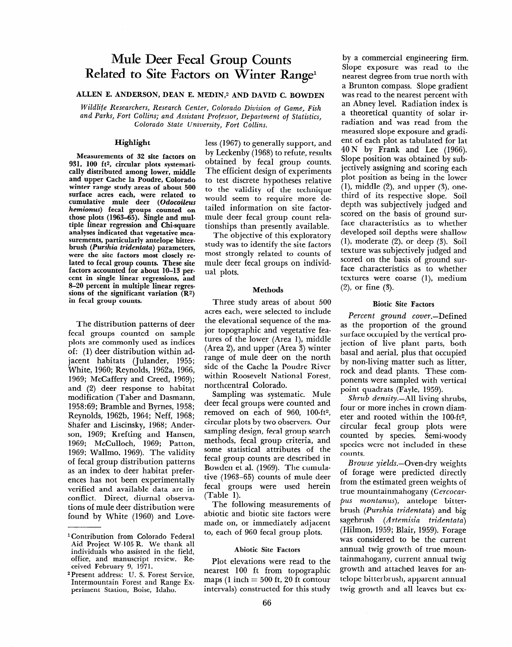# **Mule Deer Fecal Group Counts**  Related to Site Factors on Winter Range<sup>1</sup>

# ALLEN E. ANDERSON, DEAN E. MEDIN,<sup>2</sup> AND DAVID C. BOWDEN

*Wildlife Researchers, Research Center, Colorado Division of Game, Fish and Parks, Fort Collins; and Assistant Professor, Department* **of** *Statistics, Colorado State University, Fort Collins.* 

## **Highlight**

**Measurements of 32 site factors on 931, 100 ft2, circular plots systematically distributed among lower, middle and upper Cache la Poudre, Colorado winter range study areas of about 500 surface acres each, were related to cumulative mule deer (Odocoileus**  *hemionus*) **fecal groups** counted on **those plots (1963-65). Single and mul**tiple linear regression and Chi-square **analyses indicated that vegetative measurements, particularly antelope bitterbrush** *(Purshia tridentata)* parameters, **were the site factors most closely related to fecal group counts. These site factors accounted for about lo-13 percent in single linear regressions, and 8-20 percent in multiple linear regressions of the significant variation (R2) in fecal group counts.** 

The distribution patterns of deer fecal groups counted on sample plots are commonly used as indices of: (1) deer distribution within adjacent habitats (Julander, 1955; White, 1960; Reynolds, 1962a, 1966, 1969; McCaffery and Creed, 1969); and (2) deer response to habitat modification (Taber and Dasmann, 1069:60; Bramble and Businami, Regionol, **Diamore and Dyfiles, 1990,**<br>D<sub>rewn</sub> 14, 1969, 1964; Neff, 1969 Reynolds, 1962b, 1964; Neff, 1968;<br>Shafer and Liscinsky, 1968; Ander- $\frac{1000}{1000}$  M  $\frac{1000}{100}$  M  $\frac{1000}{100}$  $1966$ ;  $1969$ ; McCullocal, 1969; Patton, 1969 1969; McCulloch, 1969; Patton, 1969; Wallmo, 1969). The validity of fecal group distribution patterns as an index to deer habitat preferences has not been experimentally verified and available data are in conflict. Direct, diurnal observations of mule deer distribution were<br>found by White (1960) and Loveless (1967) to generally support, and by Leckenby (1968) to refute, results obtained by fecal group counts. The efficient design of experiments to test discrete hypotheses relative to the validity of the technique would seem to require more detailed information on site factormule deer fecal group count relationships than presently available.

The objective of this exploratory study was to identify the site factors most strongly related to counts of mule deer fecal groups on individual plots.

### **Methods**

**Three study areas of about 500**  acres each, were selected to include the elevational sequence of the major topographic and vegetative features of the lower (Area I), middle  $(Area 2)$ , and upper  $(Area 3)$  winter range of mule deer on the north side of the Cache la Poudre River within Roosevelt National Forest, northcentral Colorado.

Sampling was systematic. Mule bamping was systematic. multideer fecal groups were counted and<br>removed on each of 960, 100-ft<sup>2</sup>, circular plots book two observers.  $\frac{1}{3}$  design,  $\frac{1}{3}$  design,  $\frac{1}{3}$  design,  $\frac{1}{3}$ sampling design, fecal group search methods, fecal group criteria, and some statistical attributes of the fecal group counts are described in. Bowden et al. (1969). The cumulative  $(1963-65)$  counts of mule deer fecal groups were used herein<br>(Table 1).  $T_{\text{min}}$  measurements of  $T_{\text{min}}$ 

rile following ineasurements of abiotic and biotic site factors were made on, or immediately adjacent<br>to, each of 960 fecal group plots.

# Player one reader

Plot elevations were read to the mearest 100 ft from topographic maps (1 inch  $=$  500 ft, 20 ft contour<br>intervals) constructed for this study

by a commercial engineering firm. Slope exposure was read to the nearest degree from true north with a Brunton compass. Slope gradient was read to the nearest percent with an Abney level. Radiation index is a theoretical quantity of solar irradiation and was read from the measured slope exposure and gradient of each plot as tabulated for lat 40 N by Frank and Lee (1966). Slope position was obtained by subjectively assigning and scoring each plot position as being in the lower  $(1)$ , middle  $(2)$ , and upper  $(3)$ , onethird of its respective slope. Soil depth was subjectively judged and scored on the basis of ground surface characteristics as to whether developed soil depths were shallow  $(1)$ , moderate  $(2)$ , or deep  $(3)$ . Soil texture was subjectively judged and scored on the basis of ground surface characteristics as to whether textures were coarse (l), medium (Z), or fine (3).

### **Biotic Site Factors**

*Percent ground* cover.-Defined as the proportion of the ground surface occupied by the vertical projection of live plant parts, both basal and aerial, plus that occupied basal and aerial, plus that occupied<br>by non-living matter such as litter, rock and dead plants. These compour and dead plants. These components were sampled with vertical<br>point quadrats (Fayle, 1959).

*Shrub* density.-All living shrubs,  $\frac{1}{2}$   $\frac{1}{2}$   $\frac{1}{2}$   $\frac{1}{2}$   $\frac{1}{2}$   $\frac{1}{2}$   $\frac{1}{2}$   $\frac{1}{2}$   $\frac{1}{2}$   $\frac{1}{2}$   $\frac{1}{2}$   $\frac{1}{2}$   $\frac{1}{2}$   $\frac{1}{2}$   $\frac{1}{2}$   $\frac{1}{2}$   $\frac{1}{2}$   $\frac{1}{2}$   $\frac{1}{2}$   $\frac{1}{2}$   $\frac{1}{2}$   $\frac{1}{2}$  Four of more menes in crown diamcici and footed within the footecontent to group plots well counted by species. Semi-woody species were not included in these<br>counts. *Browse yields.-* Oven-dry weights

*browse yields.*—Oven-ary weights of forage were predicted directly from the estimated green weights of *true mountainmahogany (Cercocarpus montanus*), antelope bitterbrush *(Purshia tridentata)* and big sagebrush (Artemisia tridentata) (Hilmon, 1959; Blair, 1959). Forage was considered to be the current annual twig growth of true mountainmahogany, current annual twig growth and attached leaves for antelope bitterbrush, apparent annual<br>twig growth and all leaves but ex-

l **Contribution from Colorado Federal**  Contribution from Colorado Federal Aid Project W-105-R. We thank all individuals who assisted in the field, office, and manuscript review. Received February 9, 1971.

<sup>&</sup>lt;sup>2</sup> Present address: U. S. Forest Service, **Intermountain Forest and Range Ex**periment Station, Boise, Idaho.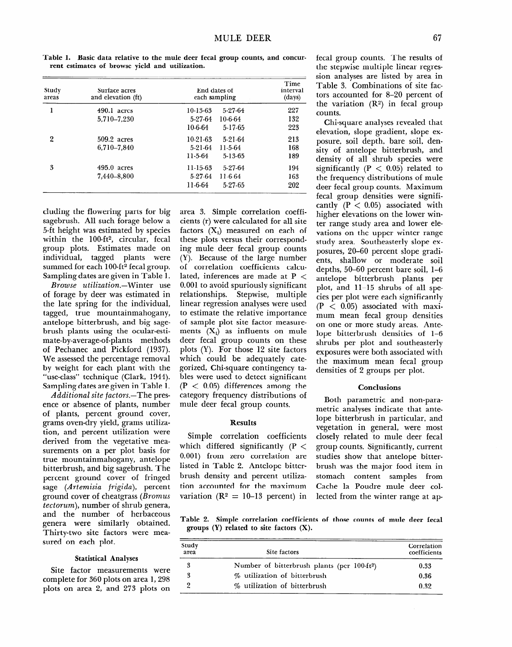**5-13-65 5-27-64 1 I-6-64 5-27-65** 

Study Surface acres End dates of areas and elevation (ft) each sampling Time interval  $(days)$ **1 490.1 acres 10-13-63 5,710-7,230 5-27-64 1 O-6-64 2 509.2 acres 10-21-63 6,710-7,840 5-21-64 5-27-64 1 O-6-64 5-17-65 5-21-64 1 l-5-64 227 132 223 213 168** 

**1 l-5-64** 

**1 l-6-64** 

**Table 1. Basic data relative to the mule deer fecal group counts, and concurrent estimates of browse yield and utilization.** 

| cluding the flowering parts for big              |  |  |  |
|--------------------------------------------------|--|--|--|
| sagebrush. All such forage below a               |  |  |  |
| 5-ft height was estimated by species             |  |  |  |
| within the 100-ft <sup>2</sup> , circular, fecal |  |  |  |
| group plots. Estimates made on                   |  |  |  |
| individual, tagged plants were                   |  |  |  |
| summed for each 100-ft <sup>2</sup> fecal group. |  |  |  |
| Sampling dates are given in Table 1.             |  |  |  |

**3 495.0 acres 1 I-15-63** 

**7,440~8,800 5-27-64** 

*Browse* utilization.-Winter use of forage by deer was estimated in the late spring for the individual, tagged, true mountainmahogany, antelope bitterbrush, and big sagebrush plants using the ocular-estimate-by-average-of-plants methods of Pechanec and Pickford (1937). We assessed the percentage removal by weight for each plant with the "use-class" technique (Clark, 1944). Sampling dates are given in Table 1.

Additional site *factors*.—The presence or absence of plants, number of plants, percent ground cover, grams oven-dry yield, grams utilization, and percent utilization were derived from the vegetative measurements on a per plot basis for true mountainmahogany, antelope bitterbrush, and big sagebrush. The percent ground cover of fringed sage *(Artemisia frigida),* percent ground cover of cheatgrass *(Bromus tectorum),* number of shrub genera,  $\frac{1}{2}$  and  $\frac{1}{2}$  herbaceous of  $\frac{1}{2}$  and  $\frac{1}{2}$ and the number of herbaccou genera were similarly obtained. Thirty-two site factors were mea-<br>sured on each plot.

# **Statistical Analyses**

**Site factor measurements were but for all interest for an area 1,298** complete for 360 plots on area 1, 298 plots on area 2, and 273 plots on area 3. Simple correlation coefficients (r) were calculated for all site factors  $(X_i)$  measured on each of these plots versus their corresponding mule deer fecal group counts (Y). Because of the large number of correlation coefficients calculated, inferences are made at  $P <$ 0.001 to avoid spuriously significant relationships. Stepwise, multiple linear regression analyses were used to estimate the relative importance of sample plot site factor measurements  $(X_i)$  as influents on mule deer fecal group counts on these plots (Y). For those 12 site factors which could be adequately categorized, Chi-square contingency tables were used to detect significant  $(P < 0.05)$  differences among the category frequency distributions of mule deer fecal group counts.

### **Results**

**Simple correlation coefficients which differed significantly** (P < 0.001) from zero correlation are listed in Table 2. Antelope bitterbrush density and percent utiliza $t_{\text{total}}$  account account  $t_{\text{total}}$  $\mathbf{v} = \mathbf{v} \mathbf{v} \mathbf{v}$  = 10-10 percent fecal group counts. The results of the stepwise multiple linear regression analyses are listed by area in Table 3. Combinations of site factors accounted for S-20 percent of the variation  $(R^2)$  in fecal group counts.

Chi-square analyses revealed that elevation, slope gradient, slope exposure, soil depth, bare soil, density of antelope bitterbrush, and density of all shrub species were significantly ( $P < 0.05$ ) related to the frequency distributions of mule deer fecal group counts. Maximum fecal group densities were significantly  $(P < 0.05)$  associated with higher elevations on the lower winter range study area and lower elevations on the upper winter range study area. Southeasterly slope exposures, 20-60 percent slope gradients, shallow or moderate soil depths, 50-60 percent bare soil, l-6 antelope bitterbrush plants per plot, and 11-15 shrubs of all species per plot were each significantly  $(P < 0.05)$  associated with maximum mean fecal group densities on one or more study areas. Antelope bitterbrush densities of **l-6 shrubs per plot and southeasterly exposures were both associated with the maximum mean fecal group densities of 2 groups per plot.** 

#### **Conclusions**

Both parametric and non-parametric analyses indicate that antelope bitterbrush in particular, and veget britten van met partitual, and regulation in general, were most closely related to mule deer fecal<br>group counts. Significantly, current studies show that antelope bitterbruares show that anterope britterstash was the major food from in stomach content samples from Cache la Poudre mule deer collected from the winter range at ap-

**Table 2. Simple correlation coefficients of those counts of mule deer fecal**  able 2. **Simple correlation coefficien** 

| Study<br>area | Site factors                                            | Correlation<br>coefficients |  |
|---------------|---------------------------------------------------------|-----------------------------|--|
| 3             | Number of bitterbrush plants (per 100-ft <sup>2</sup> ) | 0.33                        |  |
| 3             | % utilization of bitterbrush                            | 0.36                        |  |
|               | % utilization of bitterbrush                            | 0.32                        |  |